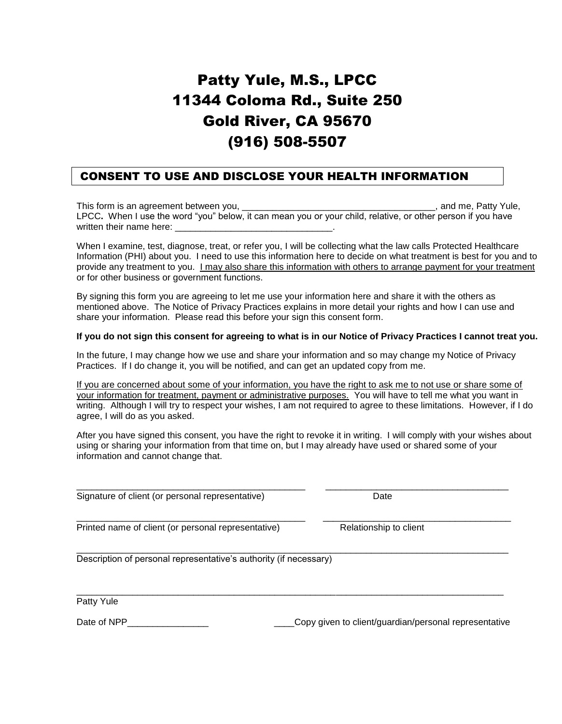# Patty Yule, M.S., LPCC 11344 Coloma Rd., Suite 250 Gold River, CA 95670 (916) 508-5507

#### CONSENT TO USE AND DISCLOSE YOUR HEALTH INFORMATION

This form is an agreement between you, \_\_\_\_\_\_\_\_\_\_\_\_\_\_\_\_\_\_\_\_\_\_\_\_\_\_\_\_\_\_\_\_\_\_\_\_\_\_, and me, Patty Yule, LPCC. When I use the word "you" below, it can mean you or your child, relative, or other person if you have written their name here:

When I examine, test, diagnose, treat, or refer you, I will be collecting what the law calls Protected Healthcare Information (PHI) about you. I need to use this information here to decide on what treatment is best for you and to provide any treatment to you. *I may also share this information with others to arrange payment for your treatment* or for other business or government functions.

By signing this form you are agreeing to let me use your information here and share it with the others as mentioned above. The Notice of Privacy Practices explains in more detail your rights and how I can use and share your information. Please read this before your sign this consent form.

#### **If you do not sign this consent for agreeing to what is in our Notice of Privacy Practices I cannot treat you.**

In the future, I may change how we use and share your information and so may change my Notice of Privacy Practices. If I do change it, you will be notified, and can get an updated copy from me.

If you are concerned about some of your information, you have the right to ask me to not use or share some of your information for treatment, payment or administrative purposes. You will have to tell me what you want in writing. Although I will try to respect your wishes, I am not required to agree to these limitations. However, if I do agree, I will do as you asked.

After you have signed this consent, you have the right to revoke it in writing. I will comply with your wishes about using or sharing your information from that time on, but I may already have used or shared some of your information and cannot change that.

| Signature of client (or personal representative)                  | Date                                                  |
|-------------------------------------------------------------------|-------------------------------------------------------|
| Printed name of client (or personal representative)               | Relationship to client                                |
| Description of personal representative's authority (if necessary) |                                                       |
| Patty Yule                                                        |                                                       |
| Date of NPP                                                       | Copy given to client/guardian/personal representative |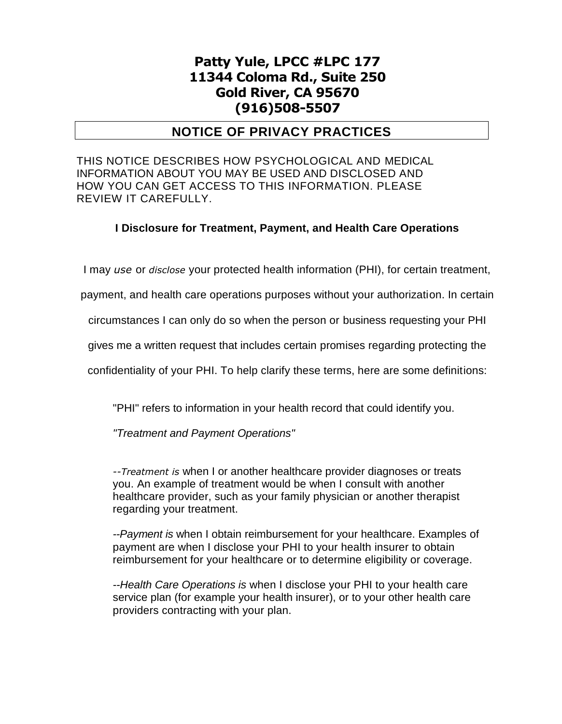# **Patty Yule, LPCC #LPC 177 11344 Coloma Rd., Suite 250 Gold River, CA 95670 (916)508-5507**

## **NOTICE OF PRIVACY PRACTICES**

THIS NOTICE DESCRIBES HOW PSYCHOLOGICAL AND MEDICAL INFORMATION ABOUT YOU MAY BE USED AND DISCLOSED AND HOW YOU CAN GET ACCESS TO THIS INFORMATION. PLEASE REVIEW IT CAREFULLY.

#### **I Disclosure for Treatment, Payment, and Health Care Operations**

I may *use* or *disclose* your protected health information (PHI), for certain treatment,

payment, and health care operations purposes without your authorization. In certain

circumstances I can only do so when the person or business requesting your PHI

gives me a written request that includes certain promises regarding protecting the

confidentiality of your PHI. To help clarify these terms, here are some definitions:

"PHI" refers to information in your health record that could identify you.

*"Treatment and Payment Operations"*

*--Treatment is* when I or another healthcare provider diagnoses or treats you. An example of treatment would be when I consult with another healthcare provider, such as your family physician or another therapist regarding your treatment.

*--Payment is* when I obtain reimbursement for your healthcare. Examples of payment are when I disclose your PHI to your health insurer to obtain reimbursement for your healthcare or to determine eligibility or coverage.

*--Health Care Operations is* when I disclose your PHI to your health care service plan (for example your health insurer), or to your other health care providers contracting with your plan.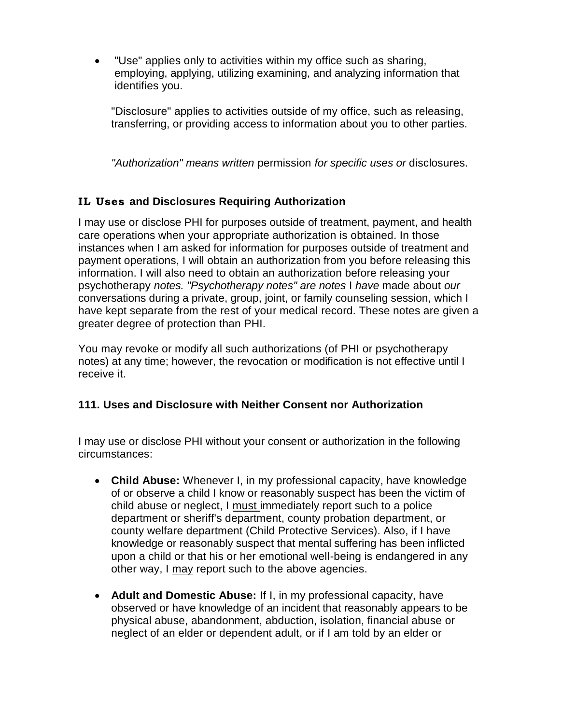"Use" applies only to activities within my office such as sharing, employing, applying, utilizing examining, and analyzing information that identifies you.

"Disclosure" applies to activities outside of my office, such as releasing, transferring, or providing access to information about you to other parties.

*"Authorization" means written* permission *for specific uses or* disclosures.

#### **IL Uses and Disclosures Requiring Authorization**

I may use or disclose PHI for purposes outside of treatment, payment, and health care operations when your appropriate authorization is obtained. In those instances when I am asked for information for purposes outside of treatment and payment operations, I will obtain an authorization from you before releasing this information. I will also need to obtain an authorization before releasing your psychotherapy *notes. "Psychotherapy notes" are notes* I *have* made about *our*  conversations during a private, group, joint, or family counseling session, which I have kept separate from the rest of your medical record. These notes are given a greater degree of protection than PHI.

You may revoke or modify all such authorizations (of PHI or psychotherapy notes) at any time; however, the revocation or modification is not effective until I receive it.

#### **111. Uses and Disclosure with Neither Consent nor Authorization**

I may use or disclose PHI without your consent or authorization in the following circumstances:

- **Child Abuse:** Whenever I, in my professional capacity, have knowledge of or observe a child I know or reasonably suspect has been the victim of child abuse or neglect, I must immediately report such to a police department or sheriff's department, county probation department, or county welfare department (Child Protective Services). Also, if I have knowledge or reasonably suspect that mental suffering has been inflicted upon a child or that his or her emotional well-being is endangered in any other way, I may report such to the above agencies.
- **Adult and Domestic Abuse:** If I, in my professional capacity, have observed or have knowledge of an incident that reasonably appears to be physical abuse, abandonment, abduction, isolation, financial abuse or neglect of an elder or dependent adult, or if I am told by an elder or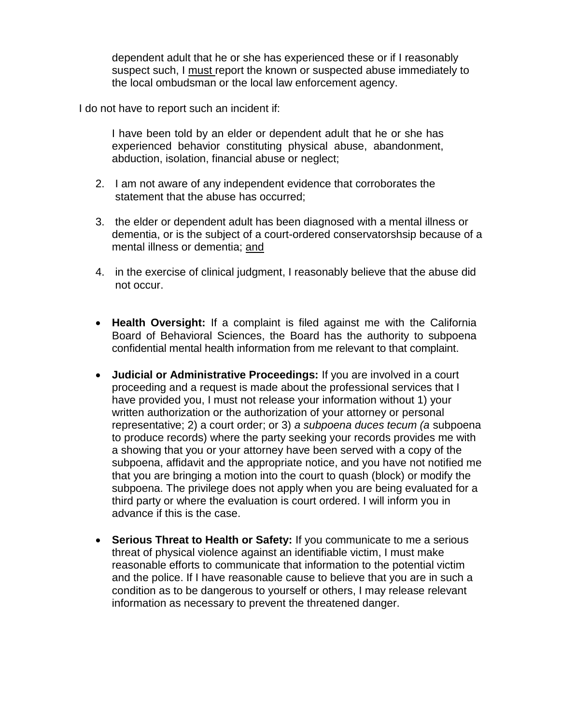dependent adult that he or she has experienced these or if I reasonably suspect such, I must report the known or suspected abuse immediately to the local ombudsman or the local law enforcement agency.

I do not have to report such an incident if:

I have been told by an elder or dependent adult that he or she has experienced behavior constituting physical abuse, abandonment, abduction, isolation, financial abuse or neglect;

- 2. I am not aware of any independent evidence that corroborates the statement that the abuse has occurred;
- 3. the elder or dependent adult has been diagnosed with a mental illness or dementia, or is the subject of a court-ordered conservatorshsip because of a mental illness or dementia; and
- 4. in the exercise of clinical judgment, I reasonably believe that the abuse did not occur.
- **Health Oversight:** If a complaint is filed against me with the California Board of Behavioral Sciences, the Board has the authority to subpoena confidential mental health information from me relevant to that complaint.
- **Judicial or Administrative Proceedings:** If you are involved in a court proceeding and a request is made about the professional services that I have provided you, I must not release your information without 1) your written authorization or the authorization of your attorney or personal representative; 2) a court order; or 3) *a subpoena duces tecum (a* subpoena to produce records) where the party seeking your records provides me with a showing that you or your attorney have been served with a copy of the subpoena, affidavit and the appropriate notice, and you have not notified me that you are bringing a motion into the court to quash (block) or modify the subpoena. The privilege does not apply when you are being evaluated for a third party or where the evaluation is court ordered. I will inform you in advance if this is the case.
- **Serious Threat to Health or Safety:** If you communicate to me a serious threat of physical violence against an identifiable victim, I must make reasonable efforts to communicate that information to the potential victim and the police. If I have reasonable cause to believe that you are in such a condition as to be dangerous to yourself or others, I may release relevant information as necessary to prevent the threatened danger.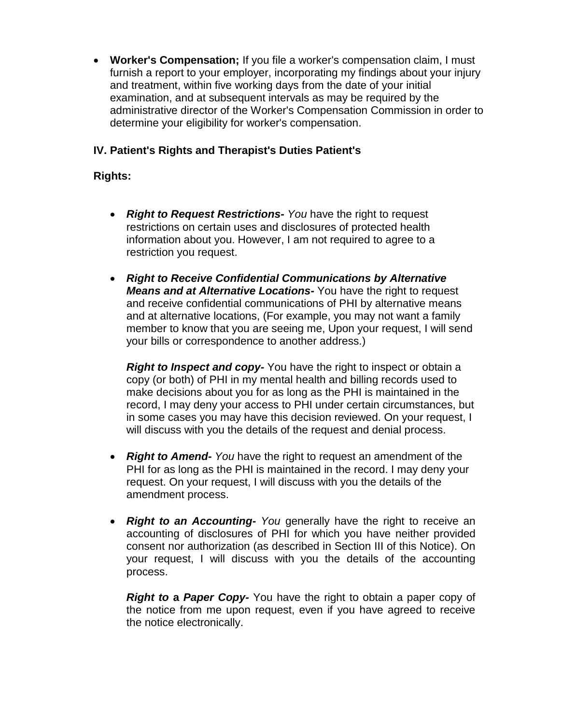**Worker's Compensation;** If you file a worker's compensation claim, I must furnish a report to your employer, incorporating my findings about your injury and treatment, within five working days from the date of your initial examination, and at subsequent intervals as may be required by the administrative director of the Worker's Compensation Commission in order to determine your eligibility for worker's compensation.

#### **IV. Patient's Rights and Therapist's Duties Patient's**

#### **Rights:**

- *Right to Request Restrictions- You* have the right to request restrictions on certain uses and disclosures of protected health information about you. However, I am not required to agree to a restriction you request.
- *Right to Receive Confidential Communications by Alternative Means and at Alternative Locations-* You have the right to request and receive confidential communications of PHI by alternative means and at alternative locations, (For example, you may not want a family member to know that you are seeing me, Upon your request, I will send your bills or correspondence to another address.)

*Right to Inspect and copy-* You have the right to inspect or obtain a copy (or both) of PHI in my mental health and billing records used to make decisions about you for as long as the PHI is maintained in the record, I may deny your access to PHI under certain circumstances, but in some cases you may have this decision reviewed. On your request, I will discuss with you the details of the request and denial process.

- *Right to Amend- You* have the right to request an amendment of the PHI for as long as the PHI is maintained in the record. I may deny your request. On your request, I will discuss with you the details of the amendment process.
- *Right to an Accounting- You* generally have the right to receive an accounting of disclosures of PHI for which you have neither provided consent nor authorization (as described in Section III of this Notice). On your request, I will discuss with you the details of the accounting process.

*Right to a Paper Copy-* You have the right to obtain a paper copy of the notice from me upon request, even if you have agreed to receive the notice electronically.